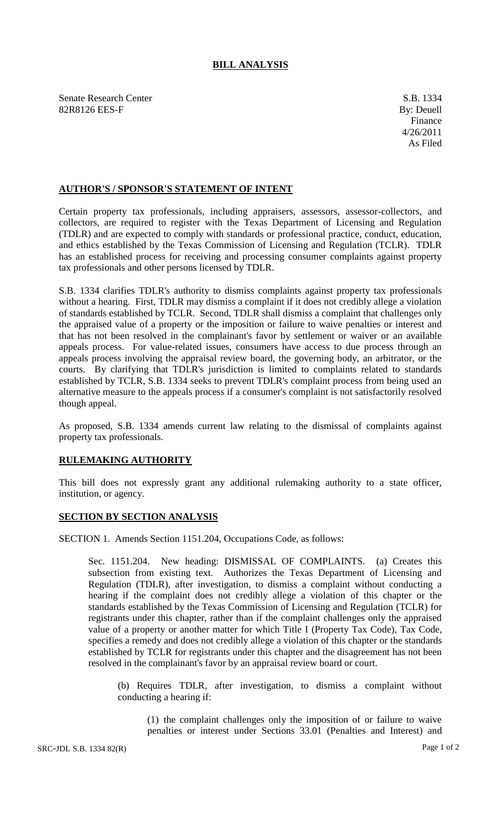## **BILL ANALYSIS**

Senate Research Center S.B. 1334 82R8126 EES-F By: Deuell

## **AUTHOR'S / SPONSOR'S STATEMENT OF INTENT**

Certain property tax professionals, including appraisers, assessors, assessor-collectors, and collectors, are required to register with the Texas Department of Licensing and Regulation (TDLR) and are expected to comply with standards or professional practice, conduct, education, and ethics established by the Texas Commission of Licensing and Regulation (TCLR). TDLR has an established process for receiving and processing consumer complaints against property tax professionals and other persons licensed by TDLR.

S.B. 1334 clarifies TDLR's authority to dismiss complaints against property tax professionals without a hearing. First, TDLR may dismiss a complaint if it does not credibly allege a violation of standards established by TCLR. Second, TDLR shall dismiss a complaint that challenges only the appraised value of a property or the imposition or failure to waive penalties or interest and that has not been resolved in the complainant's favor by settlement or waiver or an available appeals process. For value-related issues, consumers have access to due process through an appeals process involving the appraisal review board, the governing body, an arbitrator, or the courts. By clarifying that TDLR's jurisdiction is limited to complaints related to standards established by TCLR, S.B. 1334 seeks to prevent TDLR's complaint process from being used an alternative measure to the appeals process if a consumer's complaint is not satisfactorily resolved though appeal.

As proposed, S.B. 1334 amends current law relating to the dismissal of complaints against property tax professionals.

## **RULEMAKING AUTHORITY**

This bill does not expressly grant any additional rulemaking authority to a state officer, institution, or agency.

## **SECTION BY SECTION ANALYSIS**

SECTION 1. Amends Section 1151.204, Occupations Code, as follows:

Sec. 1151.204. New heading: DISMISSAL OF COMPLAINTS. (a) Creates this subsection from existing text. Authorizes the Texas Department of Licensing and Regulation (TDLR), after investigation, to dismiss a complaint without conducting a hearing if the complaint does not credibly allege a violation of this chapter or the standards established by the Texas Commission of Licensing and Regulation (TCLR) for registrants under this chapter, rather than if the complaint challenges only the appraised value of a property or another matter for which Title I (Property Tax Code), Tax Code, specifies a remedy and does not credibly allege a violation of this chapter or the standards established by TCLR for registrants under this chapter and the disagreement has not been resolved in the complainant's favor by an appraisal review board or court.

(b) Requires TDLR, after investigation, to dismiss a complaint without conducting a hearing if:

(1) the complaint challenges only the imposition of or failure to waive penalties or interest under Sections 33.01 (Penalties and Interest) and